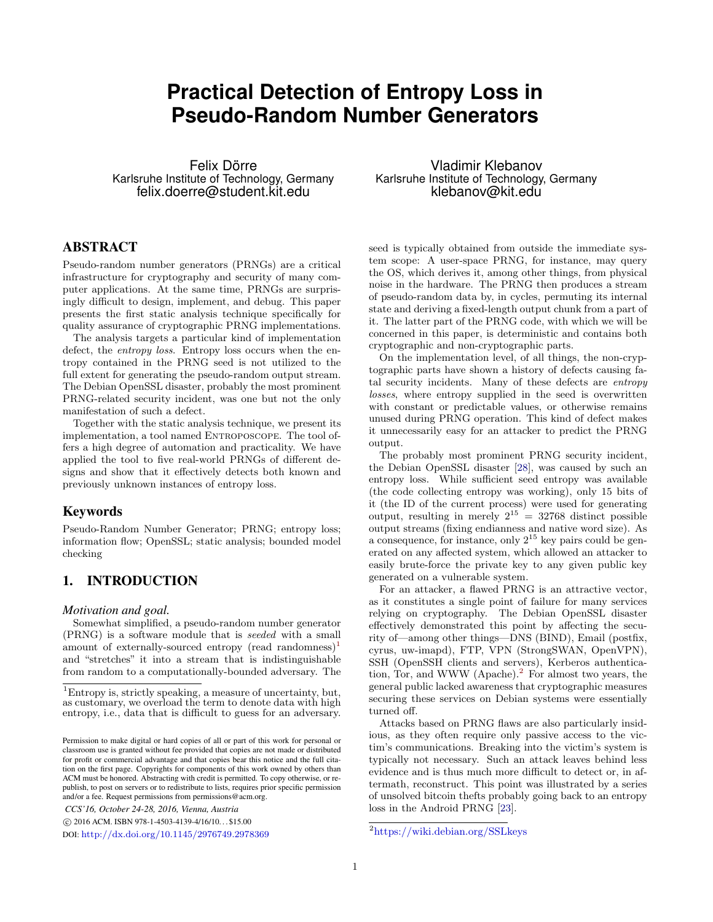# **Practical Detection of Entropy Loss in Pseudo-Random Number Generators**

Felix Dörre Karlsruhe Institute of Technology, Germany felix.doerre@student.kit.edu

# ABSTRACT

Pseudo-random number generators (PRNGs) are a critical infrastructure for cryptography and security of many computer applications. At the same time, PRNGs are surprisingly difficult to design, implement, and debug. This paper presents the first static analysis technique specifically for quality assurance of cryptographic PRNG implementations.

The analysis targets a particular kind of implementation defect, the *entropy loss*. Entropy loss occurs when the entropy contained in the PRNG seed is not utilized to the full extent for generating the pseudo-random output stream. The Debian OpenSSL disaster, probably the most prominent PRNG-related security incident, was one but not the only manifestation of such a defect.

Together with the static analysis technique, we present its implementation, a tool named ENTROPOSCOPE. The tool offers a high degree of automation and practicality. We have applied the tool to five real-world PRNGs of different designs and show that it effectively detects both known and previously unknown instances of entropy loss.

# Keywords

Pseudo-Random Number Generator; PRNG; entropy loss; information flow; OpenSSL; static analysis; bounded model checking

# 1. INTRODUCTION

#### *Motivation and goal.*

Somewhat simplified, a pseudo-random number generator (PRNG) is a software module that is seeded with a small amount of externally-sourced entropy (read randomness)<sup>[1](#page-0-0)</sup> and "stretches" it into a stream that is indistinguishable from random to a computationally-bounded adversary. The

*CCS'16, October 24-28, 2016, Vienna, Austria*

c 2016 ACM. ISBN 978-1-4503-4139-4/16/10. . . \$15.00

DOI: <http://dx.doi.org/10.1145/2976749.2978369>

Vladimir Klebanov Karlsruhe Institute of Technology, Germany klebanov@kit.edu

seed is typically obtained from outside the immediate system scope: A user-space PRNG, for instance, may query the OS, which derives it, among other things, from physical noise in the hardware. The PRNG then produces a stream of pseudo-random data by, in cycles, permuting its internal state and deriving a fixed-length output chunk from a part of it. The latter part of the PRNG code, with which we will be concerned in this paper, is deterministic and contains both cryptographic and non-cryptographic parts.

On the implementation level, of all things, the non-cryptographic parts have shown a history of defects causing fatal security incidents. Many of these defects are entropy losses, where entropy supplied in the seed is overwritten with constant or predictable values, or otherwise remains unused during PRNG operation. This kind of defect makes it unnecessarily easy for an attacker to predict the PRNG output.

The probably most prominent PRNG security incident, the Debian OpenSSL disaster [\[28\]](#page-11-0), was caused by such an entropy loss. While sufficient seed entropy was available (the code collecting entropy was working), only 15 bits of it (the ID of the current process) were used for generating output, resulting in merely  $2^{15} = 32768$  distinct possible output streams (fixing endianness and native word size). As a consequence, for instance, only  $2^{15}$  key pairs could be generated on any affected system, which allowed an attacker to easily brute-force the private key to any given public key generated on a vulnerable system.

For an attacker, a flawed PRNG is an attractive vector, as it constitutes a single point of failure for many services relying on cryptography. The Debian OpenSSL disaster effectively demonstrated this point by affecting the security of—among other things—DNS (BIND), Email (postfix, cyrus, uw-imapd), FTP, VPN (StrongSWAN, OpenVPN), SSH (OpenSSH clients and servers), Kerberos authentica-tion, Tor, and WWW (Apache).<sup>[2](#page-0-1)</sup> For almost two years, the general public lacked awareness that cryptographic measures securing these services on Debian systems were essentially turned off.

Attacks based on PRNG flaws are also particularly insidious, as they often require only passive access to the victim's communications. Breaking into the victim's system is typically not necessary. Such an attack leaves behind less evidence and is thus much more difficult to detect or, in aftermath, reconstruct. This point was illustrated by a series of unsolved bitcoin thefts probably going back to an entropy loss in the Android PRNG [\[23\]](#page-11-1).

<span id="page-0-0"></span><sup>1</sup>Entropy is, strictly speaking, a measure of uncertainty, but, as customary, we overload the term to denote data with high entropy, i.e., data that is difficult to guess for an adversary.

Permission to make digital or hard copies of all or part of this work for personal or classroom use is granted without fee provided that copies are not made or distributed for profit or commercial advantage and that copies bear this notice and the full citation on the first page. Copyrights for components of this work owned by others than ACM must be honored. Abstracting with credit is permitted. To copy otherwise, or republish, to post on servers or to redistribute to lists, requires prior specific permission and/or a fee. Request permissions from permissions@acm.org.

<span id="page-0-1"></span><sup>2</sup><https://wiki.debian.org/SSLkeys>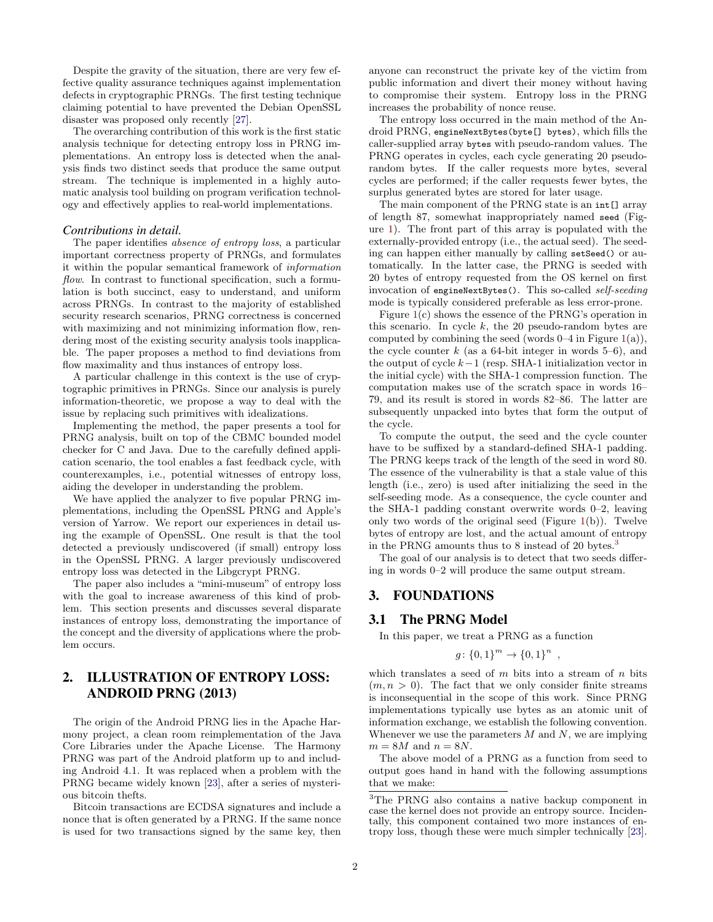Despite the gravity of the situation, there are very few effective quality assurance techniques against implementation defects in cryptographic PRNGs. The first testing technique claiming potential to have prevented the Debian OpenSSL disaster was proposed only recently [\[27\]](#page-11-2).

The overarching contribution of this work is the first static analysis technique for detecting entropy loss in PRNG implementations. An entropy loss is detected when the analysis finds two distinct seeds that produce the same output stream. The technique is implemented in a highly automatic analysis tool building on program verification technology and effectively applies to real-world implementations.

### *Contributions in detail.*

The paper identifies *absence of entropy loss*, a particular important correctness property of PRNGs, and formulates it within the popular semantical framework of information flow. In contrast to functional specification, such a formulation is both succinct, easy to understand, and uniform across PRNGs. In contrast to the majority of established security research scenarios, PRNG correctness is concerned with maximizing and not minimizing information flow, rendering most of the existing security analysis tools inapplicable. The paper proposes a method to find deviations from flow maximality and thus instances of entropy loss.

A particular challenge in this context is the use of cryptographic primitives in PRNGs. Since our analysis is purely information-theoretic, we propose a way to deal with the issue by replacing such primitives with idealizations.

Implementing the method, the paper presents a tool for PRNG analysis, built on top of the CBMC bounded model checker for C and Java. Due to the carefully defined application scenario, the tool enables a fast feedback cycle, with counterexamples, i.e., potential witnesses of entropy loss, aiding the developer in understanding the problem.

We have applied the analyzer to five popular PRNG implementations, including the OpenSSL PRNG and Apple's version of Yarrow. We report our experiences in detail using the example of OpenSSL. One result is that the tool detected a previously undiscovered (if small) entropy loss in the OpenSSL PRNG. A larger previously undiscovered entropy loss was detected in the Libgcrypt PRNG.

The paper also includes a "mini-museum" of entropy loss with the goal to increase awareness of this kind of problem. This section presents and discusses several disparate instances of entropy loss, demonstrating the importance of the concept and the diversity of applications where the problem occurs.

# <span id="page-1-1"></span>2. ILLUSTRATION OF ENTROPY LOSS: ANDROID PRNG (2013)

The origin of the Android PRNG lies in the Apache Harmony project, a clean room reimplementation of the Java Core Libraries under the Apache License. The Harmony PRNG was part of the Android platform up to and including Android 4.1. It was replaced when a problem with the PRNG became widely known [\[23\]](#page-11-1), after a series of mysterious bitcoin thefts.

Bitcoin transactions are ECDSA signatures and include a nonce that is often generated by a PRNG. If the same nonce is used for two transactions signed by the same key, then anyone can reconstruct the private key of the victim from public information and divert their money without having to compromise their system. Entropy loss in the PRNG increases the probability of nonce reuse.

The entropy loss occurred in the main method of the Android PRNG, engineNextBytes(byte[] bytes), which fills the caller-supplied array bytes with pseudo-random values. The PRNG operates in cycles, each cycle generating 20 pseudorandom bytes. If the caller requests more bytes, several cycles are performed; if the caller requests fewer bytes, the surplus generated bytes are stored for later usage.

The main component of the PRNG state is an int[] array of length 87, somewhat inappropriately named seed (Figure [1\)](#page-2-0). The front part of this array is populated with the externally-provided entropy (i.e., the actual seed). The seeding can happen either manually by calling setSeed() or automatically. In the latter case, the PRNG is seeded with 20 bytes of entropy requested from the OS kernel on first invocation of engineNextBytes(). This so-called self-seeding mode is typically considered preferable as less error-prone.

Figure [1\(](#page-2-0)c) shows the essence of the PRNG's operation in this scenario. In cycle  $k$ , the 20 pseudo-random bytes are computed by combining the seed (words  $0-4$  in Figure  $1(a)$  $1(a)$ ), the cycle counter  $k$  (as a 64-bit integer in words 5–6), and the output of cycle  $k-1$  (resp. SHA-1 initialization vector in the initial cycle) with the SHA-1 compression function. The computation makes use of the scratch space in words 16– 79, and its result is stored in words 82–86. The latter are subsequently unpacked into bytes that form the output of the cycle.

To compute the output, the seed and the cycle counter have to be suffixed by a standard-defined SHA-1 padding. The PRNG keeps track of the length of the seed in word 80. The essence of the vulnerability is that a stale value of this length (i.e., zero) is used after initializing the seed in the self-seeding mode. As a consequence, the cycle counter and the SHA-1 padding constant overwrite words 0–2, leaving only two words of the original seed (Figure  $1(b)$  $1(b)$ ). Twelve bytes of entropy are lost, and the actual amount of entropy in the PRNG amounts thus to 8 instead of 20 bytes.[3](#page-1-0)

The goal of our analysis is to detect that two seeds differing in words 0–2 will produce the same output stream.

# 3. FOUNDATIONS

# 3.1 The PRNG Model

In this paper, we treat a PRNG as a function

$$
g\colon \{0,1\}^m \to \{0,1\}^n
$$

,

which translates a seed of  $m$  bits into a stream of  $n$  bits  $(m, n > 0)$ . The fact that we only consider finite streams is inconsequential in the scope of this work. Since PRNG implementations typically use bytes as an atomic unit of information exchange, we establish the following convention. Whenever we use the parameters  $M$  and  $N$ , we are implying  $m = 8M$  and  $n = 8N$ .

The above model of a PRNG as a function from seed to output goes hand in hand with the following assumptions that we make:

<span id="page-1-0"></span><sup>3</sup>The PRNG also contains a native backup component in case the kernel does not provide an entropy source. Incidentally, this component contained two more instances of entropy loss, though these were much simpler technically [\[23\]](#page-11-1).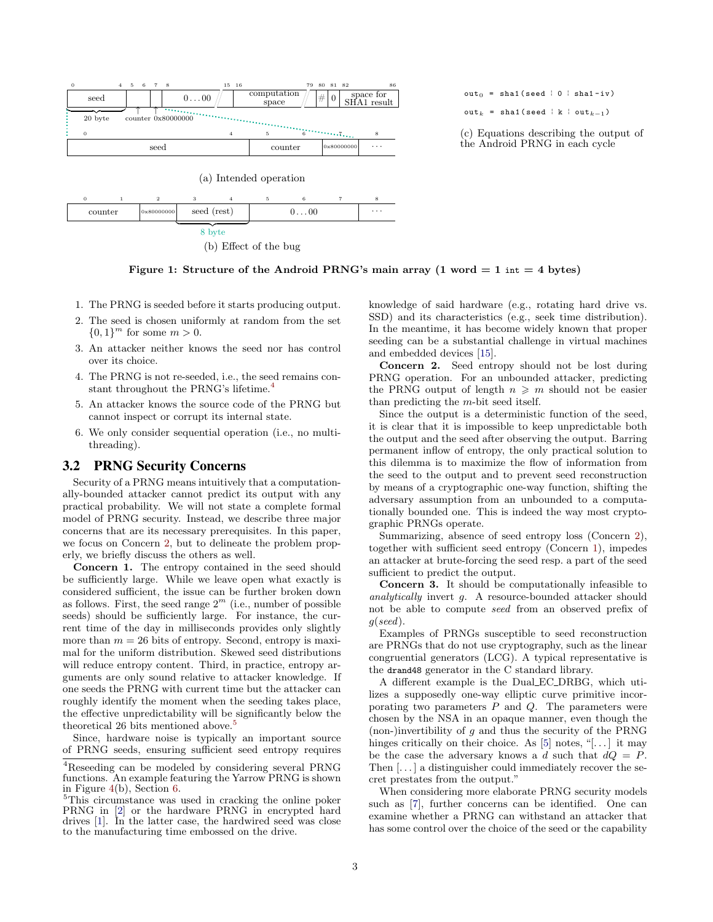

<span id="page-2-0"></span>(b) Effect of the bug

 $out_0 = sha1$  (seed | 0 | sha1-iv)

out<sub>k</sub> = sha1(seed | k | out<sub>k</sub>-1)

(c) Equations describing the output of the Android PRNG in each cycle



- 1. The PRNG is seeded before it starts producing output.
- 2. The seed is chosen uniformly at random from the set  ${0,1}^m$  for some  $m > 0$ .
- 3. An attacker neither knows the seed nor has control over its choice.
- 4. The PRNG is not re-seeded, i.e., the seed remains con-stant throughout the PRNG's lifetime.<sup>[4](#page-2-1)</sup>
- 5. An attacker knows the source code of the PRNG but cannot inspect or corrupt its internal state.
- 6. We only consider sequential operation (i.e., no multithreading).

# <span id="page-2-6"></span>3.2 PRNG Security Concerns

Security of a PRNG means intuitively that a computationally-bounded attacker cannot predict its output with any practical probability. We will not state a complete formal model of PRNG security. Instead, we describe three major concerns that are its necessary prerequisites. In this paper, we focus on Concern [2,](#page-2-2) but to delineate the problem properly, we briefly discuss the others as well.

<span id="page-2-4"></span>Concern 1. The entropy contained in the seed should be sufficiently large. While we leave open what exactly is considered sufficient, the issue can be further broken down as follows. First, the seed range  $2^m$  (i.e., number of possible seeds) should be sufficiently large. For instance, the current time of the day in milliseconds provides only slightly more than  $m = 26$  bits of entropy. Second, entropy is maximal for the uniform distribution. Skewed seed distributions will reduce entropy content. Third, in practice, entropy arguments are only sound relative to attacker knowledge. If one seeds the PRNG with current time but the attacker can roughly identify the moment when the seeding takes place, the effective unpredictability will be significantly below the theoretical 26 bits mentioned above.<sup>[5](#page-2-3)</sup>

Since, hardware noise is typically an important source of PRNG seeds, ensuring sufficient seed entropy requires knowledge of said hardware (e.g., rotating hard drive vs. SSD) and its characteristics (e.g., seek time distribution). In the meantime, it has become widely known that proper seeding can be a substantial challenge in virtual machines and embedded devices [\[15\]](#page-11-5).

<span id="page-2-2"></span>Concern 2. Seed entropy should not be lost during PRNG operation. For an unbounded attacker, predicting the PRNG output of length  $n \geq m$  should not be easier than predicting the m-bit seed itself.

Since the output is a deterministic function of the seed, it is clear that it is impossible to keep unpredictable both the output and the seed after observing the output. Barring permanent inflow of entropy, the only practical solution to this dilemma is to maximize the flow of information from the seed to the output and to prevent seed reconstruction by means of a cryptographic one-way function, shifting the adversary assumption from an unbounded to a computationally bounded one. This is indeed the way most cryptographic PRNGs operate.

Summarizing, absence of seed entropy loss (Concern [2\)](#page-2-2), together with sufficient seed entropy (Concern [1\)](#page-2-4), impedes an attacker at brute-forcing the seed resp. a part of the seed sufficient to predict the output.

<span id="page-2-5"></span>Concern 3. It should be computationally infeasible to analytically invert g. A resource-bounded attacker should not be able to compute seed from an observed prefix of g(seed).

Examples of PRNGs susceptible to seed reconstruction are PRNGs that do not use cryptography, such as the linear congruential generators (LCG). A typical representative is the drand48 generator in the C standard library.

A different example is the Dual EC DRBG, which utilizes a supposedly one-way elliptic curve primitive incorporating two parameters  $P$  and  $Q$ . The parameters were chosen by the NSA in an opaque manner, even though the (non-)invertibility of  $g$  and thus the security of the PRNG hinges critically on their choice. As  $[5]$  notes, "[...] it may be the case the adversary knows a d such that  $dQ = P$ . Then [...] a distinguisher could immediately recover the secret prestates from the output."

When considering more elaborate PRNG security models such as [\[7\]](#page-11-7), further concerns can be identified. One can examine whether a PRNG can withstand an attacker that has some control over the choice of the seed or the capability

<span id="page-2-1"></span><sup>4</sup>Reseeding can be modeled by considering several PRNG functions. An example featuring the Yarrow PRNG is shown in Figure [4\(](#page-5-0)b), Section [6.](#page-6-0)

<span id="page-2-3"></span><sup>5</sup>This circumstance was used in cracking the online poker PRNG in [\[2\]](#page-11-3) or the hardware PRNG in encrypted hard drives [\[1\]](#page-11-4). In the latter case, the hardwired seed was close to the manufacturing time embossed on the drive.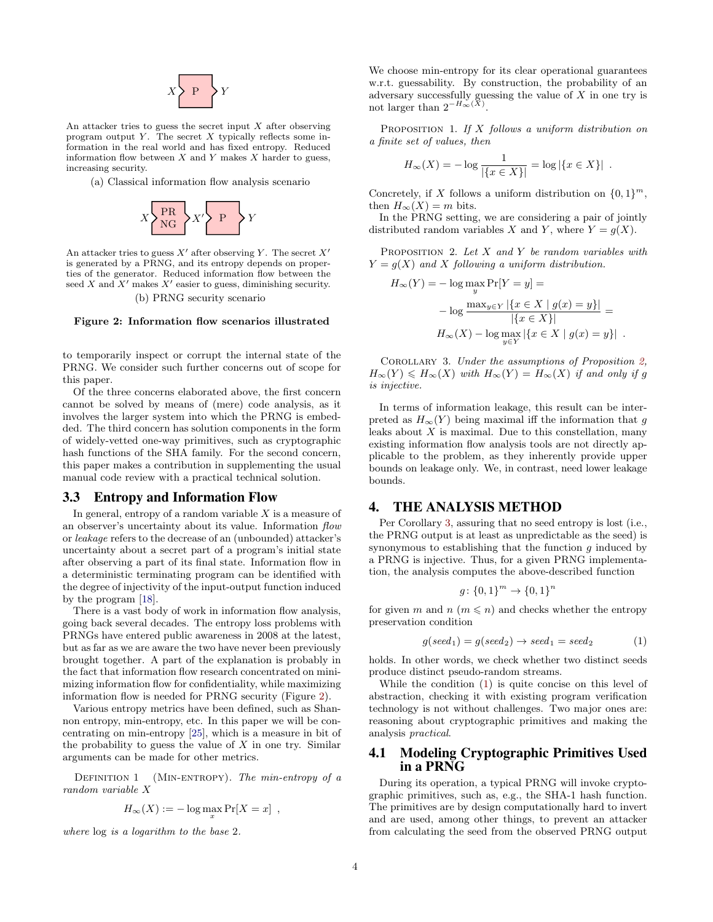

An attacker tries to guess the secret input  $X$  after observing program output  $Y$ . The secret  $X$  typically reflects some information in the real world and has fixed entropy. Reduced information flow between  $X$  and  $Y$  makes  $X$  harder to guess, increasing security.

(a) Classical information flow analysis scenario



An attacker tries to guess  $X'$  after observing Y. The secret  $X'$ is generated by a PRNG, and its entropy depends on properties of the generator. Reduced information flow between the seed  $X$  and  $X'$  makes  $X'$  easier to guess, diminishing security. (b) PRNG security scenario

#### <span id="page-3-0"></span>Figure 2: Information flow scenarios illustrated

to temporarily inspect or corrupt the internal state of the PRNG. We consider such further concerns out of scope for this paper.

Of the three concerns elaborated above, the first concern cannot be solved by means of (mere) code analysis, as it involves the larger system into which the PRNG is embedded. The third concern has solution components in the form of widely-vetted one-way primitives, such as cryptographic hash functions of the SHA family. For the second concern, this paper makes a contribution in supplementing the usual manual code review with a practical technical solution.

# 3.3 Entropy and Information Flow

In general, entropy of a random variable  $X$  is a measure of an observer's uncertainty about its value. Information flow or leakage refers to the decrease of an (unbounded) attacker's uncertainty about a secret part of a program's initial state after observing a part of its final state. Information flow in a deterministic terminating program can be identified with the degree of injectivity of the input-output function induced by the program [\[18\]](#page-11-8).

There is a vast body of work in information flow analysis, going back several decades. The entropy loss problems with PRNGs have entered public awareness in 2008 at the latest, but as far as we are aware the two have never been previously brought together. A part of the explanation is probably in the fact that information flow research concentrated on minimizing information flow for confidentiality, while maximizing information flow is needed for PRNG security (Figure [2\)](#page-3-0).

Various entropy metrics have been defined, such as Shannon entropy, min-entropy, etc. In this paper we will be concentrating on min-entropy [\[25\]](#page-11-9), which is a measure in bit of the probability to guess the value of  $X$  in one try. Similar arguments can be made for other metrics.

DEFINITION 1 (MIN-ENTROPY). The min-entropy of a random variable X

$$
H_{\infty}(X) := -\log \max_{x} \Pr[X = x],
$$

where log is a logarithm to the base 2.

We choose min-entropy for its clear operational guarantees w.r.t. guessability. By construction, the probability of an adversary successfully guessing the value of  $X$  in one try is not larger than  $2^{-H_{\infty}(\bar{X})}$ .

PROPOSITION 1. If  $X$  follows a uniform distribution on a finite set of values, then

$$
H_{\infty}(X) = -\log \frac{1}{|\{x \in X\}|} = \log |\{x \in X\}|.
$$

Concretely, if X follows a uniform distribution on  $\{0,1\}^m$ , then  $H_{\infty}(X) = m$  bits.

In the PRNG setting, we are considering a pair of jointly distributed random variables X and Y, where  $Y = g(X)$ .

<span id="page-3-1"></span>PROPOSITION 2. Let  $X$  and  $Y$  be random variables with  $Y = g(X)$  and X following a uniform distribution.

$$
H_{\infty}(Y) = -\log \max_{y} \Pr[Y = y] =
$$
  
-\log \frac{\max\_{y \in Y} |\{x \in X \mid g(x) = y\}|}{|\{x \in X\}|} =  

$$
H_{\infty}(X) - \log \max_{y \in Y} |\{x \in X \mid g(x) = y\}|.
$$

<span id="page-3-2"></span>Corollary 3. Under the assumptions of Proposition [2,](#page-3-1)  $H_{\infty}(Y) \leq H_{\infty}(X)$  with  $H_{\infty}(Y) = H_{\infty}(X)$  if and only if g is injective.

In terms of information leakage, this result can be interpreted as  $H_{\infty}(Y)$  being maximal iff the information that g leaks about  $X$  is maximal. Due to this constellation, many existing information flow analysis tools are not directly applicable to the problem, as they inherently provide upper bounds on leakage only. We, in contrast, need lower leakage bounds.

### 4. THE ANALYSIS METHOD

Per Corollary [3,](#page-3-2) assuring that no seed entropy is lost (i.e., the PRNG output is at least as unpredictable as the seed) is synonymous to establishing that the function  $q$  induced by a PRNG is injective. Thus, for a given PRNG implementation, the analysis computes the above-described function

$$
g \colon \{0,1\}^m \to \{0,1\}^n
$$

for given m and  $n \ (m \leq n)$  and checks whether the entropy preservation condition

<span id="page-3-3"></span>
$$
g(seed1) = g(seed2) \rightarrow seed1 = seed2
$$
 (1)

holds. In other words, we check whether two distinct seeds produce distinct pseudo-random streams.

While the condition [\(1\)](#page-3-3) is quite concise on this level of abstraction, checking it with existing program verification technology is not without challenges. Two major ones are: reasoning about cryptographic primitives and making the analysis practical.

### <span id="page-3-4"></span>4.1 Modeling Cryptographic Primitives Used in a PRNG

During its operation, a typical PRNG will invoke cryptographic primitives, such as, e.g., the SHA-1 hash function. The primitives are by design computationally hard to invert and are used, among other things, to prevent an attacker from calculating the seed from the observed PRNG output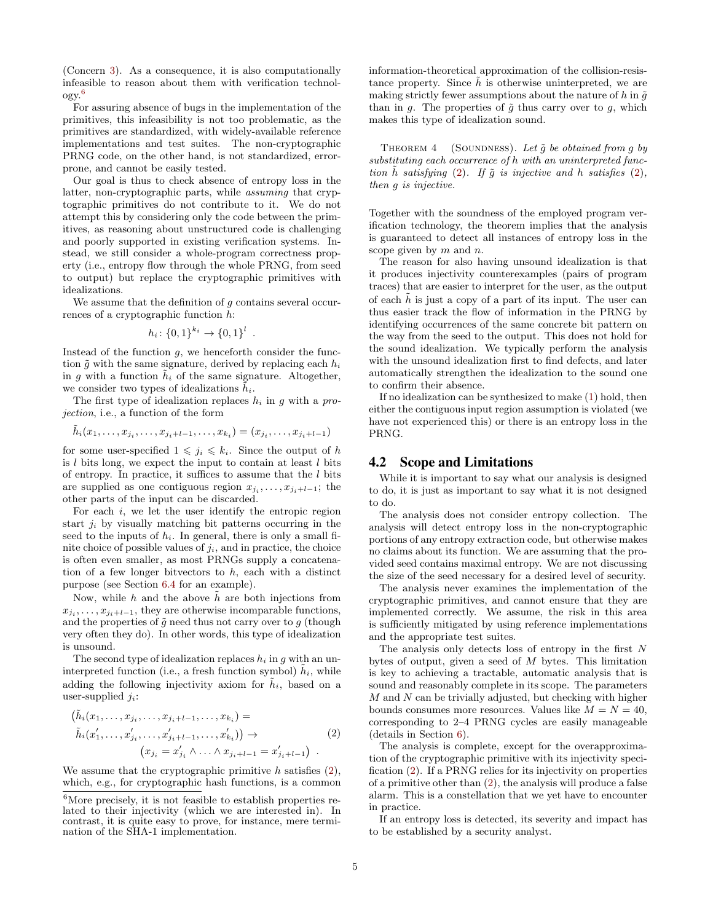(Concern [3\)](#page-2-5). As a consequence, it is also computationally infeasible to reason about them with verification technology.[6](#page-4-0)

For assuring absence of bugs in the implementation of the primitives, this infeasibility is not too problematic, as the primitives are standardized, with widely-available reference implementations and test suites. The non-cryptographic PRNG code, on the other hand, is not standardized, errorprone, and cannot be easily tested.

Our goal is thus to check absence of entropy loss in the latter, non-cryptographic parts, while assuming that cryptographic primitives do not contribute to it. We do not attempt this by considering only the code between the primitives, as reasoning about unstructured code is challenging and poorly supported in existing verification systems. Instead, we still consider a whole-program correctness property (i.e., entropy flow through the whole PRNG, from seed to output) but replace the cryptographic primitives with idealizations.

We assume that the definition of  $g$  contains several occurrences of a cryptographic function h:

$$
h_i \colon \{0,1\}^{k_i} \to \{0,1\}^l
$$

.

Instead of the function  $g$ , we henceforth consider the function  $\tilde{g}$  with the same signature, derived by replacing each  $h_i$ in g with a function  $h_i$  of the same signature. Altogether, we consider two types of idealizations  $h_i$ .

The first type of idealization replaces  $h_i$  in g with a projection, i.e., a function of the form

$$
\tilde{h}_i(x_1,\ldots,x_{j_i},\ldots,x_{j_i+l-1},\ldots,x_{k_i})=(x_{j_i},\ldots,x_{j_i+l-1})
$$

for some user-specified  $1 \leq j_i \leq k_i$ . Since the output of h is  $l$  bits long, we expect the input to contain at least  $l$  bits of entropy. In practice, it suffices to assume that the  $l$  bits are supplied as one contiguous region  $x_{j_i}, \ldots, x_{j_i+l-1}$ ; the other parts of the input can be discarded.

For each  $i$ , we let the user identify the entropic region start  $j_i$  by visually matching bit patterns occurring in the seed to the inputs of  $h_i$ . In general, there is only a small finite choice of possible values of  $j_i$ , and in practice, the choice is often even smaller, as most PRNGs supply a concatenation of a few longer bitvectors to  $h$ , each with a distinct purpose (see Section [6.4](#page-7-0) for an example).

Now, while h and the above  $\tilde{h}$  are both injections from  $x_{j_i}, \ldots, x_{j_i+l-1}$ , they are otherwise incomparable functions, and the properties of  $\tilde{g}$  need thus not carry over to g (though very often they do). In other words, this type of idealization is unsound.

The second type of idealization replaces  $h_i$  in g with an uninterpreted function (i.e., a fresh function symbol)  $\tilde{h}_i$ , while adding the following injectivity axiom for  $\tilde{h}_i$ , based on a user-supplied  $i_i$ :

<span id="page-4-1"></span>
$$
(\tilde{h}_i(x_1, \ldots, x_{j_i}, \ldots, x_{j_i+l-1}, \ldots, x_{k_i}) =
$$
\n
$$
\tilde{h}_i(x'_1, \ldots, x'_{j_i}, \ldots, x'_{j_i+l-1}, \ldots, x'_{k_i}) \rightarrow (2)
$$
\n
$$
(x_{j_i} = x'_{j_i} \land \ldots \land x_{j_i+l-1} = x'_{j_i+l-1}) .
$$

We assume that the cryptographic primitive  $h$  satisfies  $(2)$ , which, e.g., for cryptographic hash functions, is a common information-theoretical approximation of the collision-resistance property. Since  $\tilde{h}$  is otherwise uninterpreted, we are making strictly fewer assumptions about the nature of h in  $\tilde{q}$ than in q. The properties of  $\tilde{q}$  thus carry over to q, which makes this type of idealization sound.

THEOREM  $4$  (SOUNDNESS). Let  $\tilde{g}$  be obtained from g by substituting each occurrence of h with an uninterpreted function  $\tilde{h}$  satisfying [\(2\)](#page-4-1). If  $\tilde{g}$  is injective and h satisfies (2), then g is injective.

Together with the soundness of the employed program verification technology, the theorem implies that the analysis is guaranteed to detect all instances of entropy loss in the scope given by  $m$  and  $n$ .

The reason for also having unsound idealization is that it produces injectivity counterexamples (pairs of program traces) that are easier to interpret for the user, as the output of each  $\tilde{h}$  is just a copy of a part of its input. The user can thus easier track the flow of information in the PRNG by identifying occurrences of the same concrete bit pattern on the way from the seed to the output. This does not hold for the sound idealization. We typically perform the analysis with the unsound idealization first to find defects, and later automatically strengthen the idealization to the sound one to confirm their absence.

If no idealization can be synthesized to make [\(1\)](#page-3-3) hold, then either the contiguous input region assumption is violated (we have not experienced this) or there is an entropy loss in the PRNG.

### 4.2 Scope and Limitations

While it is important to say what our analysis is designed to do, it is just as important to say what it is not designed to do.

The analysis does not consider entropy collection. The analysis will detect entropy loss in the non-cryptographic portions of any entropy extraction code, but otherwise makes no claims about its function. We are assuming that the provided seed contains maximal entropy. We are not discussing the size of the seed necessary for a desired level of security.

The analysis never examines the implementation of the cryptographic primitives, and cannot ensure that they are implemented correctly. We assume, the risk in this area is sufficiently mitigated by using reference implementations and the appropriate test suites.

The analysis only detects loss of entropy in the first  $N$ bytes of output, given a seed of M bytes. This limitation is key to achieving a tractable, automatic analysis that is sound and reasonably complete in its scope. The parameters  $M$  and  $N$  can be trivially adjusted, but checking with higher bounds consumes more resources. Values like  $M = N = 40$ , corresponding to 2–4 PRNG cycles are easily manageable (details in Section [6\)](#page-6-0).

The analysis is complete, except for the overapproximation of the cryptographic primitive with its injectivity specification [\(2\)](#page-4-1). If a PRNG relies for its injectivity on properties of a primitive other than [\(2\)](#page-4-1), the analysis will produce a false alarm. This is a constellation that we yet have to encounter in practice.

If an entropy loss is detected, its severity and impact has to be established by a security analyst.

<span id="page-4-0"></span> $^6 \rm{More}$  precisely, it is not feasible to establish properties related to their injectivity (which we are interested in). In contrast, it is quite easy to prove, for instance, mere termination of the SHA-1 implementation.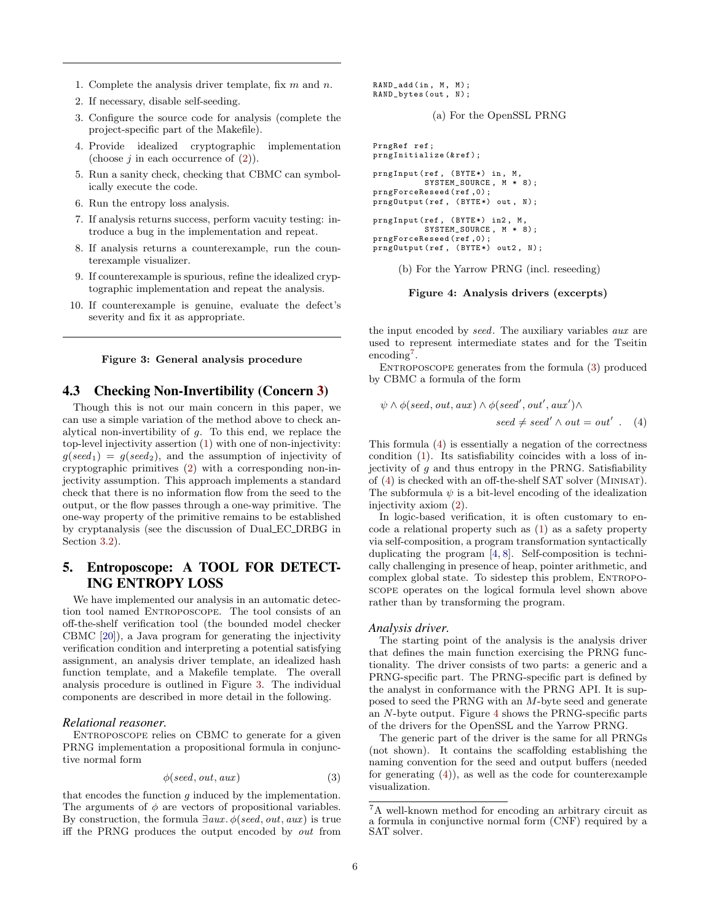- 1. Complete the analysis driver template, fix  $m$  and  $n$ .
- 2. If necessary, disable self-seeding.
- 3. Configure the source code for analysis (complete the project-specific part of the Makefile).
- 4. Provide idealized cryptographic implementation (choose  $j$  in each occurrence of  $(2)$ ).
- 5. Run a sanity check, checking that CBMC can symbolically execute the code.
- 6. Run the entropy loss analysis.
- 7. If analysis returns success, perform vacuity testing: introduce a bug in the implementation and repeat.
- 8. If analysis returns a counterexample, run the counterexample visualizer.
- 9. If counterexample is spurious, refine the idealized cryptographic implementation and repeat the analysis.
- 10. If counterexample is genuine, evaluate the defect's severity and fix it as appropriate.

<span id="page-5-1"></span>

## 4.3 Checking Non-Invertibility (Concern [3\)](#page-2-5)

Though this is not our main concern in this paper, we can use a simple variation of the method above to check analytical non-invertibility of g. To this end, we replace the top-level injectivity assertion [\(1\)](#page-3-3) with one of non-injectivity:  $g(seed_1) = g(seed_2)$ , and the assumption of injectivity of cryptographic primitives [\(2\)](#page-4-1) with a corresponding non-injectivity assumption. This approach implements a standard check that there is no information flow from the seed to the output, or the flow passes through a one-way primitive. The one-way property of the primitive remains to be established by cryptanalysis (see the discussion of Dual EC DRBG in Section [3.2\)](#page-2-6).

# 5. Entroposcope: A TOOL FOR DETECT-ING ENTROPY LOSS

We have implemented our analysis in an automatic detection tool named ENTROPOSCOPE. The tool consists of an off-the-shelf verification tool (the bounded model checker CBMC [\[20\]](#page-11-10)), a Java program for generating the injectivity verification condition and interpreting a potential satisfying assignment, an analysis driver template, an idealized hash function template, and a Makefile template. The overall analysis procedure is outlined in Figure [3.](#page-5-1) The individual components are described in more detail in the following.

### *Relational reasoner.*

ENTROPOSCOPE relies on CBMC to generate for a given PRNG implementation a propositional formula in conjunctive normal form

<span id="page-5-3"></span>
$$
\phi(\text{seed}, \text{out}, \text{aux}) \tag{3}
$$

that encodes the function  $g$  induced by the implementation. The arguments of  $\phi$  are vectors of propositional variables. By construction, the formula  $\exists aux.\phi(seed, out, aux)$  is true iff the PRNG produces the output encoded by out from

```
RAND_add(in, M, M);
RAND_bytes ( out , N);
```

```
(a) For the OpenSSL PRNG
```

```
PrngRef ref ;
prngInitialize (&ref);
prngInput (ref, (BYTE*) in, M,
          SYSTEM_SOURCE, M * 8);
prngForceReseed ( ref ,0) ;
prngOutput (ref, (BYTE*) out, N);
prngInput (ref, (BYTE*) in2, M,
          SYSTEM_SOURCE , M * 8) ;
prngForceReseed ( ref ,0) ;
prngOutput (ref, (BYTE*) out2, N);
```
(b) For the Yarrow PRNG (incl. reseeding)

<span id="page-5-0"></span>Figure 4: Analysis drivers (excerpts)

the input encoded by seed. The auxiliary variables aux are used to represent intermediate states and for the Tseitin encoding<sup>[7](#page-5-2)</sup>.

ENTROPOSCOPE generates from the formula [\(3\)](#page-5-3) produced by CBMC a formula of the form

<span id="page-5-4"></span>
$$
\psi \land \phi (seed, out, aux) \land \phi (seed', out', aux') \land
$$
  
 
$$
seed \neq seed' \land out = out' \ .
$$
 (4)

This formula [\(4\)](#page-5-4) is essentially a negation of the correctness condition [\(1\)](#page-3-3). Its satisfiability coincides with a loss of injectivity of  $g$  and thus entropy in the PRNG. Satisfiability of [\(4\)](#page-5-4) is checked with an off-the-shelf SAT solver (Minisat). The subformula  $\psi$  is a bit-level encoding of the idealization injectivity axiom [\(2\)](#page-4-1).

In logic-based verification, it is often customary to encode a relational property such as [\(1\)](#page-3-3) as a safety property via self-composition, a program transformation syntactically duplicating the program [\[4,](#page-11-11) [8\]](#page-11-12). Self-composition is technically challenging in presence of heap, pointer arithmetic, and complex global state. To sidestep this problem, ENTROPOscope operates on the logical formula level shown above rather than by transforming the program.

#### *Analysis driver.*

The starting point of the analysis is the analysis driver that defines the main function exercising the PRNG functionality. The driver consists of two parts: a generic and a PRNG-specific part. The PRNG-specific part is defined by the analyst in conformance with the PRNG API. It is supposed to seed the PRNG with an M-byte seed and generate an N-byte output. Figure [4](#page-5-0) shows the PRNG-specific parts of the drivers for the OpenSSL and the Yarrow PRNG.

The generic part of the driver is the same for all PRNGs (not shown). It contains the scaffolding establishing the naming convention for the seed and output buffers (needed for generating  $(4)$ , as well as the code for counterexample visualization.

<span id="page-5-2"></span><sup>7</sup>A well-known method for encoding an arbitrary circuit as a formula in conjunctive normal form (CNF) required by a SAT solver.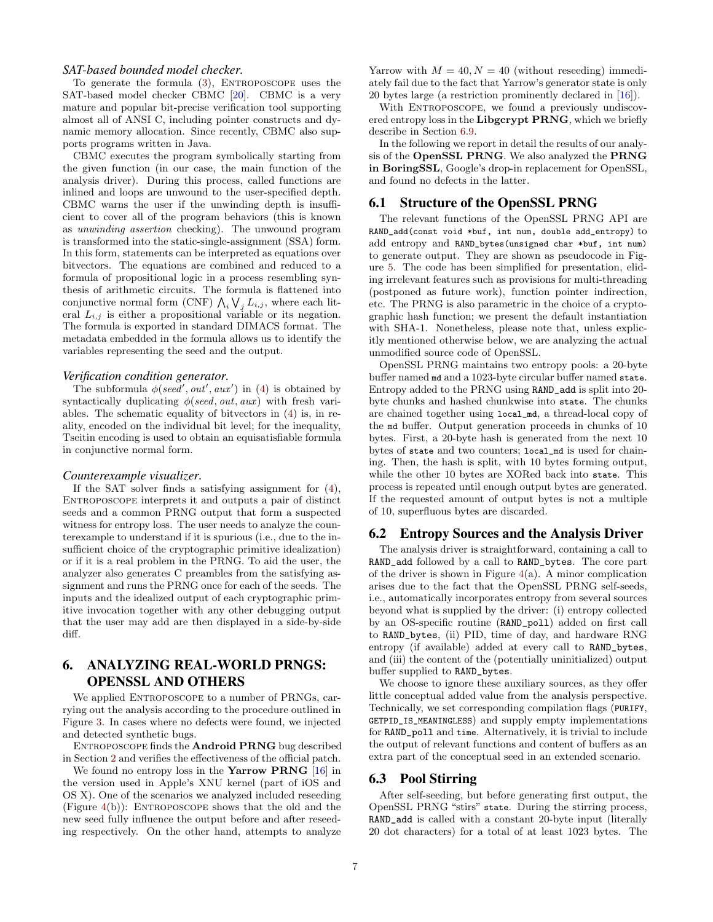### *SAT-based bounded model checker.*

To generate the formula  $(3)$ , ENTROPOSCOPE uses the SAT-based model checker CBMC [\[20\]](#page-11-10). CBMC is a very mature and popular bit-precise verification tool supporting almost all of ANSI C, including pointer constructs and dynamic memory allocation. Since recently, CBMC also supports programs written in Java.

CBMC executes the program symbolically starting from the given function (in our case, the main function of the analysis driver). During this process, called functions are inlined and loops are unwound to the user-specified depth. CBMC warns the user if the unwinding depth is insufficient to cover all of the program behaviors (this is known as unwinding assertion checking). The unwound program is transformed into the static-single-assignment (SSA) form. In this form, statements can be interpreted as equations over bitvectors. The equations are combined and reduced to a formula of propositional logic in a process resembling synthesis of arithmetic circuits. The formula is flattened into conjunctive normal form (CNF)  $\bigwedge_i \bigvee_j L_{i,j}$ , where each literal  $L_{i,j}$  is either a propositional variable or its negation. The formula is exported in standard DIMACS format. The metadata embedded in the formula allows us to identify the variables representing the seed and the output.

### *Verification condition generator.*

The subformula  $\phi$ (seed', out', aux') in [\(4\)](#page-5-4) is obtained by syntactically duplicating  $\phi$ (seed, out, aux) with fresh variables. The schematic equality of bitvectors in [\(4\)](#page-5-4) is, in reality, encoded on the individual bit level; for the inequality, Tseitin encoding is used to obtain an equisatisfiable formula in conjunctive normal form.

#### *Counterexample visualizer.*

If the SAT solver finds a satisfying assignment for [\(4\)](#page-5-4), Entroposcope interprets it and outputs a pair of distinct seeds and a common PRNG output that form a suspected witness for entropy loss. The user needs to analyze the counterexample to understand if it is spurious (i.e., due to the insufficient choice of the cryptographic primitive idealization) or if it is a real problem in the PRNG. To aid the user, the analyzer also generates C preambles from the satisfying assignment and runs the PRNG once for each of the seeds. The inputs and the idealized output of each cryptographic primitive invocation together with any other debugging output that the user may add are then displayed in a side-by-side diff.

# <span id="page-6-0"></span>6. ANALYZING REAL-WORLD PRNGS: OPENSSL AND OTHERS

We applied ENTROPOSCOPE to a number of PRNGs, carrying out the analysis according to the procedure outlined in Figure [3.](#page-5-1) In cases where no defects were found, we injected and detected synthetic bugs.

ENTROPOSCOPE finds the **Android PRNG** bug described in Section [2](#page-1-1) and verifies the effectiveness of the official patch.

We found no entropy loss in the **Yarrow PRNG** [\[16\]](#page-11-13) in the version used in Apple's XNU kernel (part of iOS and OS X). One of the scenarios we analyzed included reseeding (Figure  $4(b)$  $4(b)$ ): ENTROPOSCOPE shows that the old and the new seed fully influence the output before and after reseeding respectively. On the other hand, attempts to analyze Yarrow with  $M = 40, N = 40$  (without reseeding) immediately fail due to the fact that Yarrow's generator state is only 20 bytes large (a restriction prominently declared in [\[16\]](#page-11-13)).

With ENTROPOSCOPE, we found a previously undiscovered entropy loss in the Libgcrypt PRNG, which we briefly describe in Section [6.9.](#page-8-0)

In the following we report in detail the results of our analysis of the OpenSSL PRNG. We also analyzed the PRNG in BoringSSL, Google's drop-in replacement for OpenSSL, and found no defects in the latter.

### 6.1 Structure of the OpenSSL PRNG

The relevant functions of the OpenSSL PRNG API are RAND\_add(const void \*buf, int num, double add\_entropy) to add entropy and RAND\_bytes(unsigned char \*buf, int num) to generate output. They are shown as pseudocode in Figure [5.](#page-7-1) The code has been simplified for presentation, eliding irrelevant features such as provisions for multi-threading (postponed as future work), function pointer indirection, etc. The PRNG is also parametric in the choice of a cryptographic hash function; we present the default instantiation with SHA-1. Nonetheless, please note that, unless explicitly mentioned otherwise below, we are analyzing the actual unmodified source code of OpenSSL.

OpenSSL PRNG maintains two entropy pools: a 20-byte buffer named md and a 1023-byte circular buffer named state. Entropy added to the PRNG using RAND\_add is split into 20 byte chunks and hashed chunkwise into state. The chunks are chained together using local\_md, a thread-local copy of the md buffer. Output generation proceeds in chunks of 10 bytes. First, a 20-byte hash is generated from the next 10 bytes of state and two counters; local\_md is used for chaining. Then, the hash is split, with 10 bytes forming output, while the other 10 bytes are XORed back into state. This process is repeated until enough output bytes are generated. If the requested amount of output bytes is not a multiple of 10, superfluous bytes are discarded.

### 6.2 Entropy Sources and the Analysis Driver

The analysis driver is straightforward, containing a call to RAND\_add followed by a call to RAND\_bytes. The core part of the driver is shown in Figure  $4(a)$  $4(a)$ . A minor complication arises due to the fact that the OpenSSL PRNG self-seeds, i.e., automatically incorporates entropy from several sources beyond what is supplied by the driver: (i) entropy collected by an OS-specific routine (RAND\_poll) added on first call to RAND\_bytes, (ii) PID, time of day, and hardware RNG entropy (if available) added at every call to RAND\_bytes, and (iii) the content of the (potentially uninitialized) output buffer supplied to RAND\_bytes.

We choose to ignore these auxiliary sources, as they offer little conceptual added value from the analysis perspective. Technically, we set corresponding compilation flags (PURIFY, GETPID\_IS\_MEANINGLESS) and supply empty implementations for RAND\_poll and time. Alternatively, it is trivial to include the output of relevant functions and content of buffers as an extra part of the conceptual seed in an extended scenario.

### 6.3 Pool Stirring

After self-seeding, but before generating first output, the OpenSSL PRNG "stirs" state. During the stirring process, RAND\_add is called with a constant 20-byte input (literally 20 dot characters) for a total of at least 1023 bytes. The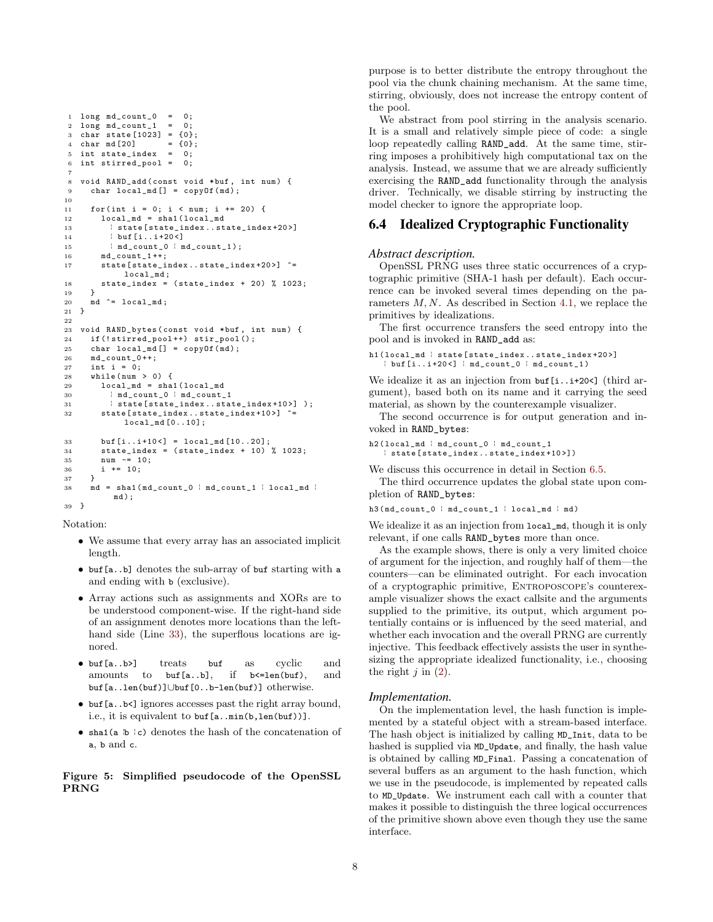```
1 long md\_count_0 = 0;<br>2 long md count 1 = 0:
 2 long md_{count_1} = 0;<br>3 char state [1023] = \{0\};3 char state [1023] = \{0\};<br>4 char md [20] = \{0\};char md [20] = \{0\}<br>int state index = 0;
 5 int state_index = 0;<br>6 int stirred_pool = 0;
     int stirred_pool
 7
 8 void RAND_add(const void *buf, int num) {<br>9 char local md[] = copy0f(md):
         char local\_md[] = copyOf(md);10
11 for (int i = 0; i < num; i += 20) {
12 10 \text{ coal\_md} = \text{sha1} (1 \text{ocal\_md} )13 | state [state_index ..state_index +20 >]<br>14 | buf [i..i +20 <]
14 <br>
15 <br>
\begin{array}{ccc} \n 1 \text{ but } [\text{i} \dots \text{i} + 20 \lt] \\
 1 \text{ in } \text{d\_count\_0} \quad \text{in} \n \end{array}15 \frac{1}{2} \frac{1}{2} \frac{1}{2} \frac{1}{2} \frac{1}{2} \frac{1}{2} \frac{1}{2} \frac{1}{2} \frac{1}{2} \frac{1}{2} \frac{1}{2} \frac{1}{2} \frac{1}{2} \frac{1}{2} \frac{1}{2} \frac{1}{2} \frac{1}{2} \frac{1}{2} \frac{1}{2} \frac{1}{2} \frac{1}{2} \frac{1}{2}md count 1++;
17 state [state_index . . state_index +20>] ^=
                      local md:
18 state_index = (state_index + 20) % 1023;<br>19 }
19 }
20 md \hat{=} local_md;
21 }
22
23 void RAND_bytes ( const void * buf , int num ) {
24 if (!stirred_pool++) stir_pool();
25 char local_md [] = copyOf (md);
26 md_count_0 ++;
27 int i = 0;
28 while (\text{num} > 0) {
29 \qquad \qquad \qquad \qquad \qquad \qquad \qquad \qquad \qquad \qquad \qquad \qquad \qquad \qquad \qquad \qquad \qquad \qquad \qquad \qquad \qquad \qquad \qquad \qquad \qquad \qquad \qquad \qquad \qquad \qquad \qquad \qquad \qquad \qquad \qquad \qquad \30 \text{ind\_count\_0} \cdot \text{md\_count\_1}<br>31 \text{state} \text{state} \text{index} \dots \text{sta}31 \downarrow state [state_index ..state_index +10>] );<br>32 state [state_index ..state_index +10>] ^=
             state [state_index..state_index +10 >] ^=
                      local_md [0..10];
33 buf [i \, . . i + 10 <] = local md [10, .20];
34 state_index = (state_index + 10) % 1023;<br>35 num - 10;
35 num = 10;<br>36 i += 10:
          i += 10;<br>}
37 }
38 md = sha1(md\_count_0 | md\_count_1 | local_md |
                   md );
39 }
```
<span id="page-7-4"></span><span id="page-7-2"></span>Notation:

- We assume that every array has an associated implicit length.
- buf[a..b] denotes the sub-array of buf starting with a and ending with b (exclusive).
- Array actions such as assignments and XORs are to be understood component-wise. If the right-hand side of an assignment denotes more locations than the lefthand side (Line [33\)](#page-7-2), the superflous locations are ignored.
- buf[a..b>] treats buf as cyclic and amounts to buf[a..b], if b<=len(buf), and buf[a..len(buf)]∪buf[0..b-len(buf)] otherwise.
- buf[a..b<] ignores accesses past the right array bound, i.e., it is equivalent to buf[a..min(b,len(buf))].
- <span id="page-7-1"></span> $\bullet$  sha1(a  $b \nmid c$ ) denotes the hash of the concatenation of a, b and c.

Figure 5: Simplified pseudocode of the OpenSSL PRNG

purpose is to better distribute the entropy throughout the pool via the chunk chaining mechanism. At the same time, stirring, obviously, does not increase the entropy content of the pool.

We abstract from pool stirring in the analysis scenario. It is a small and relatively simple piece of code: a single loop repeatedly calling RAND\_add. At the same time, stirring imposes a prohibitively high computational tax on the analysis. Instead, we assume that we are already sufficiently exercising the RAND\_add functionality through the analysis driver. Technically, we disable stirring by instructing the model checker to ignore the appropriate loop.

# <span id="page-7-0"></span>6.4 Idealized Cryptographic Functionality

### *Abstract description.*

OpenSSL PRNG uses three static occurrences of a cryptographic primitive (SHA-1 hash per default). Each occurrence can be invoked several times depending on the parameters M, N. As described in Section [4.1,](#page-3-4) we replace the primitives by idealizations.

The first occurrence transfers the seed entropy into the pool and is invoked in RAND\_add as:

```
h1 (local_md | state [state_index . . state_index +20>]
    \frac{1}{2} buf [i \dots i + 20 <] \frac{1}{2} md_count_0 \frac{1}{2} md_count_1 )
```
We idealize it as an injection from buf [i... i+20<] (third argument), based both on its name and it carrying the seed material, as shown by the counterexample visualizer.

The second occurrence is for output generation and invoked in RAND\_bytes:

```
h2 (local\_md | md\_count\_0 | md\_count\_1| state [ state_index .. state_index +10 >])
```
We discuss this occurrence in detail in Section [6.5.](#page-8-1)

The third occurrence updates the global state upon completion of RAND\_bytes:

 $h3 (md\_count_0 | md\_count_1 | local\_md | md)$ 

We idealize it as an injection from  $local\_md$ , though it is only relevant, if one calls RAND\_bytes more than once.

As the example shows, there is only a very limited choice of argument for the injection, and roughly half of them—the counters—can be eliminated outright. For each invocation of a cryptographic primitive, Entroposcope's counterexample visualizer shows the exact callsite and the arguments supplied to the primitive, its output, which argument potentially contains or is influenced by the seed material, and whether each invocation and the overall PRNG are currently injective. This feedback effectively assists the user in synthesizing the appropriate idealized functionality, i.e., choosing the right  $j$  in  $(2)$ .

### *Implementation.*

On the implementation level, the hash function is implemented by a stateful object with a stream-based interface. The hash object is initialized by calling MD\_Init, data to be hashed is supplied via MD\_Update, and finally, the hash value is obtained by calling MD\_Final. Passing a concatenation of several buffers as an argument to the hash function, which we use in the pseudocode, is implemented by repeated calls to MD\_Update. We instrument each call with a counter that makes it possible to distinguish the three logical occurrences of the primitive shown above even though they use the same interface.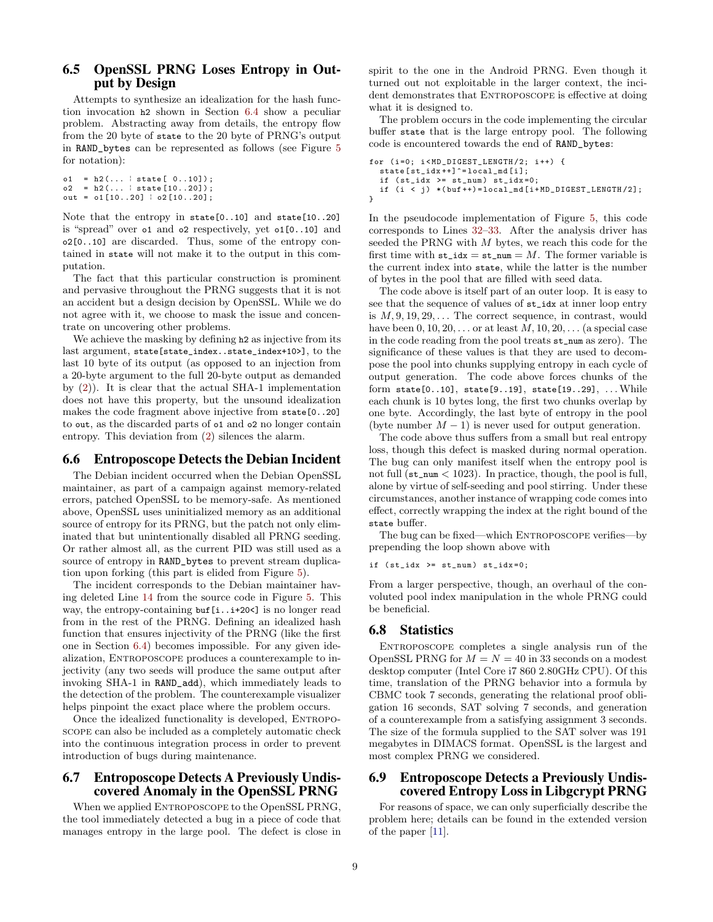# <span id="page-8-1"></span>6.5 OpenSSL PRNG Loses Entropy in Output by Design

Attempts to synthesize an idealization for the hash function invocation h2 shown in Section [6.4](#page-7-0) show a peculiar problem. Abstracting away from details, the entropy flow from the 20 byte of state to the 20 byte of PRNG's output in RAND\_bytes can be represented as follows (see Figure [5](#page-7-1) for notation):

```
o1 = h2(... | state[ 0..10]);<br>o2 = h2(... | state[10..20]):
     = h2 (... | state [10..20]);
out = o1[10..20] | o2[10..20];
```
Note that the entropy in state[0..10] and state[10..20] is "spread" over o1 and o2 respectively, yet o1[0..10] and o2[0..10] are discarded. Thus, some of the entropy contained in state will not make it to the output in this computation.

The fact that this particular construction is prominent and pervasive throughout the PRNG suggests that it is not an accident but a design decision by OpenSSL. While we do not agree with it, we choose to mask the issue and concentrate on uncovering other problems.

We achieve the masking by defining h2 as injective from its last argument, state[state\_index..state\_index+10>], to the last 10 byte of its output (as opposed to an injection from a 20-byte argument to the full 20-byte output as demanded by [\(2\)](#page-4-1)). It is clear that the actual SHA-1 implementation does not have this property, but the unsound idealization makes the code fragment above injective from state[0..20] to out, as the discarded parts of o1 and o2 no longer contain entropy. This deviation from [\(2\)](#page-4-1) silences the alarm.

# <span id="page-8-2"></span>6.6 Entroposcope Detects the Debian Incident

The Debian incident occurred when the Debian OpenSSL maintainer, as part of a campaign against memory-related errors, patched OpenSSL to be memory-safe. As mentioned above, OpenSSL uses uninitialized memory as an additional source of entropy for its PRNG, but the patch not only eliminated that but unintentionally disabled all PRNG seeding. Or rather almost all, as the current PID was still used as a source of entropy in RAND\_bytes to prevent stream duplication upon forking (this part is elided from Figure [5\)](#page-7-1).

The incident corresponds to the Debian maintainer having deleted Line [14](#page-7-3) from the source code in Figure [5.](#page-7-1) This way, the entropy-containing buf[i..i+20<] is no longer read from in the rest of the PRNG. Defining an idealized hash function that ensures injectivity of the PRNG (like the first one in Section [6.4\)](#page-7-0) becomes impossible. For any given idealization, Entroposcope produces a counterexample to injectivity (any two seeds will produce the same output after invoking SHA-1 in RAND\_add), which immediately leads to the detection of the problem. The counterexample visualizer helps pinpoint the exact place where the problem occurs.

Once the idealized functionality is developed, ENTROPOscope can also be included as a completely automatic check into the continuous integration process in order to prevent introduction of bugs during maintenance.

# <span id="page-8-3"></span>6.7 Entroposcope Detects A Previously Undiscovered Anomaly in the OpenSSL PRNG

When we applied ENTROPOSCOPE to the OpenSSL PRNG, the tool immediately detected a bug in a piece of code that manages entropy in the large pool. The defect is close in spirit to the one in the Android PRNG. Even though it turned out not exploitable in the larger context, the incident demonstrates that ENTROPOSCOPE is effective at doing what it is designed to.

The problem occurs in the code implementing the circular buffer state that is the large entropy pool. The following code is encountered towards the end of RAND\_bytes:

```
for (i=0; i<MD_DIGEST_LENGTH/2; i++) {
  state [st_idx ++] ^= local_md [i];
  if (st_idx >= st_name) st_idx = 0if (i < j) *( buf ++) = local_md [i+ MD_DIGEST_LENGTH /2];
}
```
In the pseudocode implementation of Figure [5,](#page-7-1) this code corresponds to Lines [32–](#page-7-4)[33.](#page-7-2) After the analysis driver has seeded the PRNG with M bytes, we reach this code for the first time with  $st\_idx = st\_num = M$ . The former variable is the current index into state, while the latter is the number of bytes in the pool that are filled with seed data.

The code above is itself part of an outer loop. It is easy to see that the sequence of values of st\_idx at inner loop entry is  $M, 9, 19, 29, \ldots$  The correct sequence, in contrast, would have been  $0, 10, 20, \ldots$  or at least  $M, 10, 20, \ldots$  (a special case in the code reading from the pool treats st\_num as zero). The significance of these values is that they are used to decompose the pool into chunks supplying entropy in each cycle of output generation. The code above forces chunks of the form state[0..10], state[9..19], state[19..29], . . .While each chunk is 10 bytes long, the first two chunks overlap by one byte. Accordingly, the last byte of entropy in the pool (byte number  $M - 1$ ) is never used for output generation.

The code above thus suffers from a small but real entropy loss, though this defect is masked during normal operation. The bug can only manifest itself when the entropy pool is not full (st\_num < 1023). In practice, though, the pool is full, alone by virtue of self-seeding and pool stirring. Under these circumstances, another instance of wrapping code comes into effect, correctly wrapping the index at the right bound of the state buffer.

The bug can be fixed—which Entroposcope verifies—by prepending the loop shown above with

if  $(st_idx \geq st_num) st_idx = 0;$ 

From a larger perspective, though, an overhaul of the convoluted pool index manipulation in the whole PRNG could be beneficial.

# 6.8 Statistics

Entroposcope completes a single analysis run of the OpenSSL PRNG for  $M = N = 40$  in 33 seconds on a modest desktop computer (Intel Core i7 860 2.80GHz CPU). Of this time, translation of the PRNG behavior into a formula by CBMC took 7 seconds, generating the relational proof obligation 16 seconds, SAT solving 7 seconds, and generation of a counterexample from a satisfying assignment 3 seconds. The size of the formula supplied to the SAT solver was 191 megabytes in DIMACS format. OpenSSL is the largest and most complex PRNG we considered.

# <span id="page-8-0"></span>6.9 Entroposcope Detects a Previously Undiscovered Entropy Loss in Libgcrypt PRNG

For reasons of space, we can only superficially describe the problem here; details can be found in the extended version of the paper [\[11\]](#page-11-14).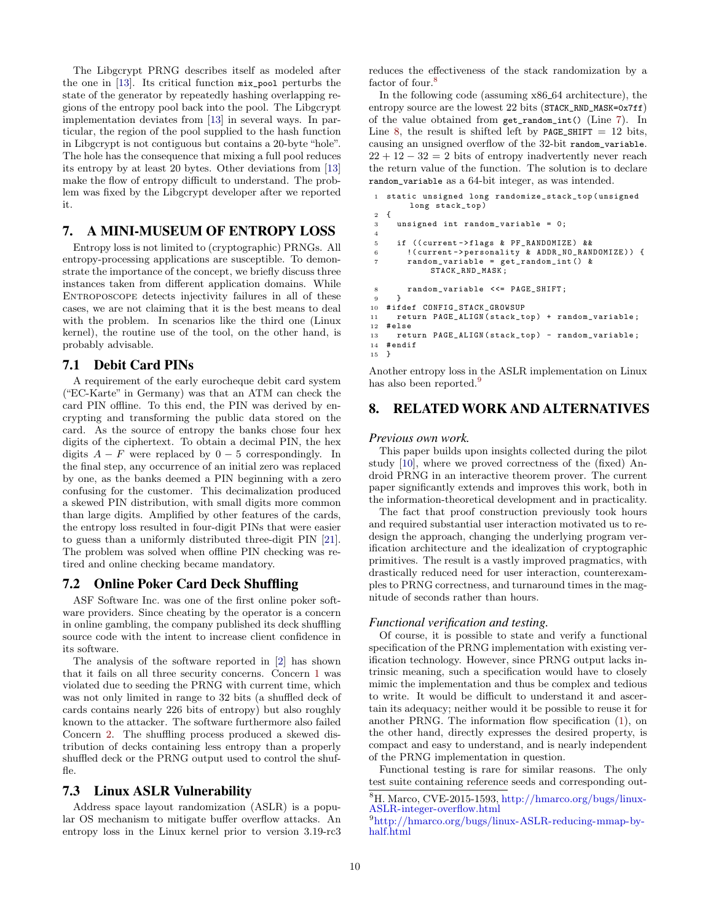The Libgcrypt PRNG describes itself as modeled after the one in [\[13\]](#page-11-15). Its critical function mix\_pool perturbs the state of the generator by repeatedly hashing overlapping regions of the entropy pool back into the pool. The Libgcrypt implementation deviates from [\[13\]](#page-11-15) in several ways. In particular, the region of the pool supplied to the hash function in Libgcrypt is not contiguous but contains a 20-byte "hole". The hole has the consequence that mixing a full pool reduces its entropy by at least 20 bytes. Other deviations from [\[13\]](#page-11-15) make the flow of entropy difficult to understand. The problem was fixed by the Libgcrypt developer after we reported it.

# 7. A MINI-MUSEUM OF ENTROPY LOSS

Entropy loss is not limited to (cryptographic) PRNGs. All entropy-processing applications are susceptible. To demonstrate the importance of the concept, we briefly discuss three instances taken from different application domains. While ENTROPOSCOPE detects injectivity failures in all of these cases, we are not claiming that it is the best means to deal with the problem. In scenarios like the third one (Linux kernel), the routine use of the tool, on the other hand, is probably advisable.

# 7.1 Debit Card PINs

A requirement of the early eurocheque debit card system ("EC-Karte" in Germany) was that an ATM can check the card PIN offline. To this end, the PIN was derived by encrypting and transforming the public data stored on the card. As the source of entropy the banks chose four hex digits of the ciphertext. To obtain a decimal PIN, the hex digits  $A - F$  were replaced by  $0 - 5$  correspondingly. In the final step, any occurrence of an initial zero was replaced by one, as the banks deemed a PIN beginning with a zero confusing for the customer. This decimalization produced a skewed PIN distribution, with small digits more common than large digits. Amplified by other features of the cards, the entropy loss resulted in four-digit PINs that were easier to guess than a uniformly distributed three-digit PIN [\[21\]](#page-11-16). The problem was solved when offline PIN checking was retired and online checking became mandatory.

# 7.2 Online Poker Card Deck Shuffling

ASF Software Inc. was one of the first online poker software providers. Since cheating by the operator is a concern in online gambling, the company published its deck shuffling source code with the intent to increase client confidence in its software.

The analysis of the software reported in [\[2\]](#page-11-3) has shown that it fails on all three security concerns. Concern [1](#page-2-4) was violated due to seeding the PRNG with current time, which was not only limited in range to 32 bits (a shuffled deck of cards contains nearly 226 bits of entropy) but also roughly known to the attacker. The software furthermore also failed Concern [2.](#page-2-2) The shuffling process produced a skewed distribution of decks containing less entropy than a properly shuffled deck or the PRNG output used to control the shuffle.

# 7.3 Linux ASLR Vulnerability

Address space layout randomization (ASLR) is a popular OS mechanism to mitigate buffer overflow attacks. An entropy loss in the Linux kernel prior to version 3.19-rc3 reduces the effectiveness of the stack randomization by a factor of four.<sup>[8](#page-9-0)</sup>

In the following code (assuming x86 64 architecture), the entropy source are the lowest 22 bits (STACK\_RND\_MASK=0x7ff) of the value obtained from get\_random\_int() (Line [7\)](#page-9-1). In Line [8,](#page-9-2) the result is shifted left by PAGE\_SHIFT  $= 12$  bits, causing an unsigned overflow of the 32-bit random\_variable.  $22 + 12 - 32 = 2$  bits of entropy inadvertently never reach the return value of the function. The solution is to declare random\_variable as a 64-bit integer, as was intended.

```
static unsigned long randomize_stack_top (unsigned
        long stack_top )
2 {
3 unsigned int random_variable = 0;
4
5 if (( current -> flags & PF_RANDOMIZE ) &&
6 ! ( current -> personality & ADDR_NO_RANDOMIZE ) ) {<br>7 mandom variable = get random int ( ) &
        7 random_variable = get_random_int () &
             STACK_RND_MASK ;
8 random_variable <<= PAGE_SHIFT;<br>9 }
9 }
10 # ifdef CONFIG_STACK_GROWSUP
11 return PAGE_ALIGN ( stack_top ) + random_variable ;
12 # else
13 return PAGE_ALIGN(stack_top) - random_variable;
14 # endif<br>15 \}15 }
```
<span id="page-9-2"></span>Another entropy loss in the ASLR implementation on Linux has also been reported.<sup>[9](#page-9-3)</sup>

# 8. RELATED WORK AND ALTERNATIVES

#### *Previous own work.*

This paper builds upon insights collected during the pilot study [\[10\]](#page-11-17), where we proved correctness of the (fixed) Android PRNG in an interactive theorem prover. The current paper significantly extends and improves this work, both in the information-theoretical development and in practicality.

The fact that proof construction previously took hours and required substantial user interaction motivated us to redesign the approach, changing the underlying program verification architecture and the idealization of cryptographic primitives. The result is a vastly improved pragmatics, with drastically reduced need for user interaction, counterexamples to PRNG correctness, and turnaround times in the magnitude of seconds rather than hours.

#### *Functional verification and testing.*

Of course, it is possible to state and verify a functional specification of the PRNG implementation with existing verification technology. However, since PRNG output lacks intrinsic meaning, such a specification would have to closely mimic the implementation and thus be complex and tedious to write. It would be difficult to understand it and ascertain its adequacy; neither would it be possible to reuse it for another PRNG. The information flow specification [\(1\)](#page-3-3), on the other hand, directly expresses the desired property, is compact and easy to understand, and is nearly independent of the PRNG implementation in question.

Functional testing is rare for similar reasons. The only test suite containing reference seeds and corresponding out-

<span id="page-9-0"></span><sup>8</sup>H. Marco, CVE-2015-1593, [http://hmarco.org/bugs/linux-](http://hmarco.org/bugs/linux-ASLR-integer-overflow.html)[ASLR-integer-overflow.html](http://hmarco.org/bugs/linux-ASLR-integer-overflow.html)

<span id="page-9-3"></span><sup>9</sup>[http://hmarco.org/bugs/linux-ASLR-reducing-mmap-by](http://hmarco.org/bugs/linux-ASLR-reducing-mmap-by-half.html)[half.html](http://hmarco.org/bugs/linux-ASLR-reducing-mmap-by-half.html)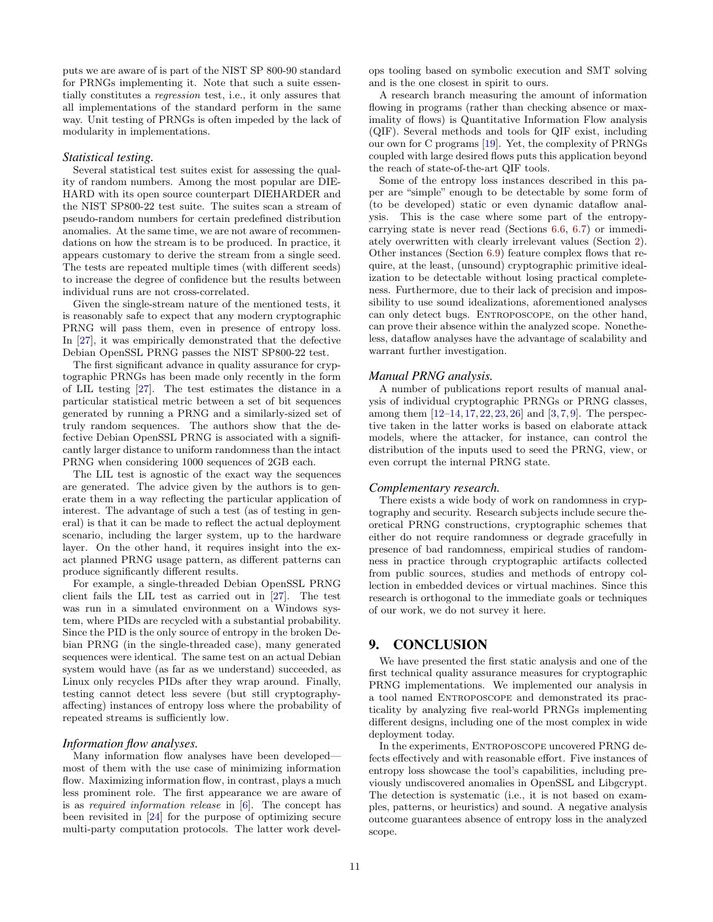puts we are aware of is part of the NIST SP 800-90 standard for PRNGs implementing it. Note that such a suite essentially constitutes a regression test, i.e., it only assures that all implementations of the standard perform in the same way. Unit testing of PRNGs is often impeded by the lack of modularity in implementations.

### *Statistical testing.*

Several statistical test suites exist for assessing the quality of random numbers. Among the most popular are DIE-HARD with its open source counterpart DIEHARDER and the NIST SP800-22 test suite. The suites scan a stream of pseudo-random numbers for certain predefined distribution anomalies. At the same time, we are not aware of recommendations on how the stream is to be produced. In practice, it appears customary to derive the stream from a single seed. The tests are repeated multiple times (with different seeds) to increase the degree of confidence but the results between individual runs are not cross-correlated.

Given the single-stream nature of the mentioned tests, it is reasonably safe to expect that any modern cryptographic PRNG will pass them, even in presence of entropy loss. In [\[27\]](#page-11-2), it was empirically demonstrated that the defective Debian OpenSSL PRNG passes the NIST SP800-22 test.

The first significant advance in quality assurance for cryptographic PRNGs has been made only recently in the form of LIL testing [\[27\]](#page-11-2). The test estimates the distance in a particular statistical metric between a set of bit sequences generated by running a PRNG and a similarly-sized set of truly random sequences. The authors show that the defective Debian OpenSSL PRNG is associated with a significantly larger distance to uniform randomness than the intact PRNG when considering 1000 sequences of 2GB each.

The LIL test is agnostic of the exact way the sequences are generated. The advice given by the authors is to generate them in a way reflecting the particular application of interest. The advantage of such a test (as of testing in general) is that it can be made to reflect the actual deployment scenario, including the larger system, up to the hardware layer. On the other hand, it requires insight into the exact planned PRNG usage pattern, as different patterns can produce significantly different results.

For example, a single-threaded Debian OpenSSL PRNG client fails the LIL test as carried out in [\[27\]](#page-11-2). The test was run in a simulated environment on a Windows system, where PIDs are recycled with a substantial probability. Since the PID is the only source of entropy in the broken Debian PRNG (in the single-threaded case), many generated sequences were identical. The same test on an actual Debian system would have (as far as we understand) succeeded, as Linux only recycles PIDs after they wrap around. Finally, testing cannot detect less severe (but still cryptographyaffecting) instances of entropy loss where the probability of repeated streams is sufficiently low.

### *Information flow analyses.*

Many information flow analyses have been developed most of them with the use case of minimizing information flow. Maximizing information flow, in contrast, plays a much less prominent role. The first appearance we are aware of is as required information release in [\[6\]](#page-11-18). The concept has been revisited in [\[24\]](#page-11-19) for the purpose of optimizing secure multi-party computation protocols. The latter work develops tooling based on symbolic execution and SMT solving and is the one closest in spirit to ours.

A research branch measuring the amount of information flowing in programs (rather than checking absence or maximality of flows) is Quantitative Information Flow analysis (QIF). Several methods and tools for QIF exist, including our own for C programs [\[19\]](#page-11-20). Yet, the complexity of PRNGs coupled with large desired flows puts this application beyond the reach of state-of-the-art QIF tools.

Some of the entropy loss instances described in this paper are "simple" enough to be detectable by some form of (to be developed) static or even dynamic dataflow analysis. This is the case where some part of the entropycarrying state is never read (Sections [6.6,](#page-8-2) [6.7\)](#page-8-3) or immediately overwritten with clearly irrelevant values (Section [2\)](#page-1-1). Other instances (Section [6.9\)](#page-8-0) feature complex flows that require, at the least, (unsound) cryptographic primitive idealization to be detectable without losing practical completeness. Furthermore, due to their lack of precision and impossibility to use sound idealizations, aforementioned analyses can only detect bugs. ENTROPOSCOPE, on the other hand, can prove their absence within the analyzed scope. Nonetheless, dataflow analyses have the advantage of scalability and warrant further investigation.

#### *Manual PRNG analysis.*

A number of publications report results of manual analysis of individual cryptographic PRNGs or PRNG classes, among them [\[12–](#page-11-21)[14,](#page-11-22) [17,](#page-11-23) [22,](#page-11-24) [23,](#page-11-1) [26\]](#page-11-25) and [\[3,](#page-11-26) [7,](#page-11-7) [9\]](#page-11-27). The perspective taken in the latter works is based on elaborate attack models, where the attacker, for instance, can control the distribution of the inputs used to seed the PRNG, view, or even corrupt the internal PRNG state.

#### *Complementary research.*

There exists a wide body of work on randomness in cryptography and security. Research subjects include secure theoretical PRNG constructions, cryptographic schemes that either do not require randomness or degrade gracefully in presence of bad randomness, empirical studies of randomness in practice through cryptographic artifacts collected from public sources, studies and methods of entropy collection in embedded devices or virtual machines. Since this research is orthogonal to the immediate goals or techniques of our work, we do not survey it here.

# 9. CONCLUSION

We have presented the first static analysis and one of the first technical quality assurance measures for cryptographic PRNG implementations. We implemented our analysis in a tool named Entroposcope and demonstrated its practicality by analyzing five real-world PRNGs implementing different designs, including one of the most complex in wide deployment today.

In the experiments, ENTROPOSCOPE uncovered PRNG defects effectively and with reasonable effort. Five instances of entropy loss showcase the tool's capabilities, including previously undiscovered anomalies in OpenSSL and Libgcrypt. The detection is systematic (i.e., it is not based on examples, patterns, or heuristics) and sound. A negative analysis outcome guarantees absence of entropy loss in the analyzed scope.